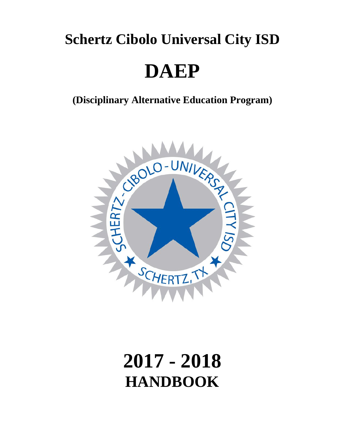# **Schertz Cibolo Universal City ISD**

# **DAEP**

**(Disciplinary Alternative Education Program)**



# **2017 - 2018 HANDBOOK**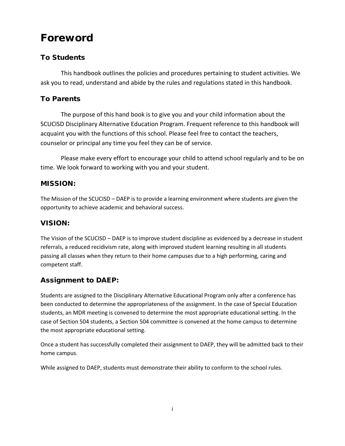# Foreword

#### To Students

This handbook outlines the policies and procedures pertaining to student activities. We ask you to read, understand and abide by the rules and regulations stated in this handbook.

#### To Parents

The purpose of this hand book is to give you and your child information about the SCUCISD Disciplinary Alternative Education Program. Frequent reference to this handbook will acquaint you with the functions of this school. Please feel free to contact the teachers, counselor or principal any time you feel they can be of service.

Please make every effort to encourage your child to attend school regularly and to be on time. We look forward to working with you and your student.

#### MISSION:

The Mission of the SCUCISD – DAEP is to provide a learning environment where students are given the opportunity to achieve academic and behavioral success.

#### VISION:

The Vision of the SCUCISD – DAEP is to improve student discipline as evidenced by a decrease in student referrals, a reduced recidivism rate, along with improved student learning resulting in all students passing all classes when they return to their home campuses due to a high performing, caring and competent staff.

#### Assignment to DAEP:

Students are assigned to the Disciplinary Alternative Educational Program only after a conference has been conducted to determine the appropriateness of the assignment. In the case of Special Education students, an MDR meeting is convened to determine the most appropriate educational setting. In the case of Section 504 students, a Section 504 committee is convened at the home campus to determine the most appropriate educational setting.

Once a student has successfully completed their assignment to DAEP, they will be admitted back to their home campus.

While assigned to DAEP, students must demonstrate their ability to conform to the school rules.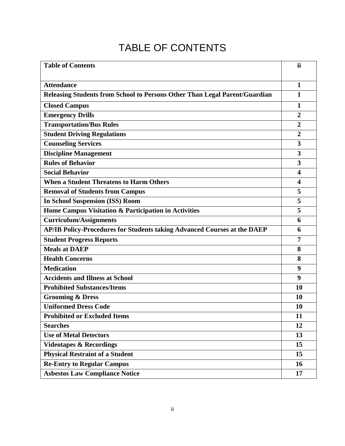# TABLE OF CONTENTS

| <b>Table of Contents</b>                                                   | ii                      |
|----------------------------------------------------------------------------|-------------------------|
| <b>Attendance</b>                                                          | 1                       |
| Releasing Students from School to Persons Other Than Legal Parent/Guardian | $\mathbf{1}$            |
|                                                                            |                         |
| <b>Closed Campus</b>                                                       | 1                       |
| <b>Emergency Drills</b>                                                    | $\overline{2}$          |
| <b>Transportation/Bus Rules</b>                                            | $\overline{2}$          |
| <b>Student Driving Regulations</b>                                         | $\overline{2}$          |
| <b>Counseling Services</b>                                                 | $\overline{\mathbf{3}}$ |
| <b>Discipline Management</b>                                               | 3                       |
| <b>Rules of Behavior</b>                                                   | 3                       |
| <b>Social Behavior</b>                                                     | $\overline{\mathbf{4}}$ |
| <b>When a Student Threatens to Harm Others</b>                             | $\overline{\mathbf{4}}$ |
| <b>Removal of Students from Campus</b>                                     | 5                       |
| <b>In School Suspension (ISS) Room</b>                                     | 5                       |
| Home Campus Visitation & Participation in Activities                       | 5                       |
| <b>Curriculum/Assignments</b>                                              | 6                       |
| AP/IB Policy-Procedures for Students taking Advanced Courses at the DAEP   | 6                       |
| <b>Student Progress Reports</b>                                            | 7                       |
| <b>Meals at DAEP</b>                                                       | 8                       |
| <b>Health Concerns</b>                                                     | 8                       |
| <b>Medication</b>                                                          | 9                       |
| <b>Accidents and Illness at School</b>                                     | 9                       |
| <b>Prohibited Substances/Items</b>                                         | 10                      |
| <b>Grooming &amp; Dress</b>                                                | 10                      |
| <b>Uniformed Dress Code</b>                                                | 10                      |
| <b>Prohibited or Excluded Items</b>                                        | 11                      |
| <b>Searches</b>                                                            | 12                      |
| <b>Use of Metal Detectors</b>                                              | 13                      |
| <b>Videotapes &amp; Recordings</b>                                         | 15                      |
| <b>Physical Restraint of a Student</b>                                     | 15                      |
| <b>Re-Entry to Regular Campus</b>                                          | 16                      |
| <b>Asbestos Law Compliance Notice</b>                                      | 17                      |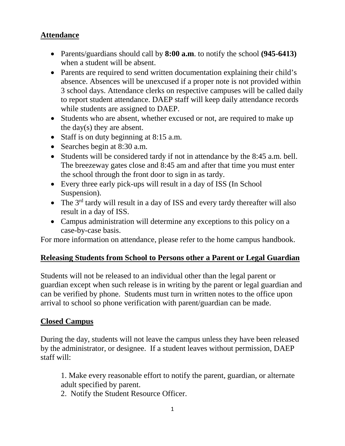# **Attendance**

- Parents/guardians should call by **8:00 a.m**. to notify the school **(945-6413)**  when a student will be absent.
- Parents are required to send written documentation explaining their child's absence. Absences will be unexcused if a proper note is not provided within 3 school days. Attendance clerks on respective campuses will be called daily to report student attendance. DAEP staff will keep daily attendance records while students are assigned to DAEP.
- Students who are absent, whether excused or not, are required to make up the day(s) they are absent.
- Staff is on duty beginning at 8:15 a.m.
- Searches begin at 8:30 a.m.
- Students will be considered tardy if not in attendance by the 8:45 a.m. bell. The breezeway gates close and 8:45 am and after that time you must enter the school through the front door to sign in as tardy.
- Every three early pick-ups will result in a day of ISS (In School Suspension).
- The  $3<sup>rd</sup>$  tardy will result in a day of ISS and every tardy thereafter will also result in a day of ISS.
- Campus administration will determine any exceptions to this policy on a case-by-case basis.

For more information on attendance, please refer to the home campus handbook.

#### **Releasing Students from School to Persons other a Parent or Legal Guardian**

Students will not be released to an individual other than the legal parent or guardian except when such release is in writing by the parent or legal guardian and can be verified by phone. Students must turn in written notes to the office upon arrival to school so phone verification with parent/guardian can be made.

#### **Closed Campus**

During the day, students will not leave the campus unless they have been released by the administrator, or designee. If a student leaves without permission, DAEP staff will:

1. Make every reasonable effort to notify the parent, guardian, or alternate adult specified by parent.

2. Notify the Student Resource Officer.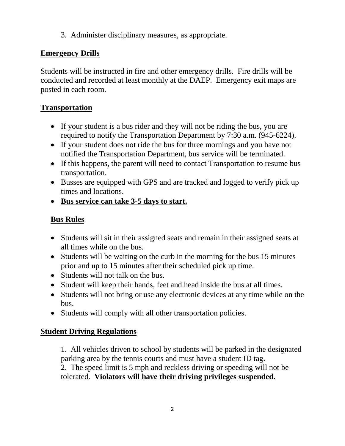3. Administer disciplinary measures, as appropriate.

#### **Emergency Drills**

Students will be instructed in fire and other emergency drills. Fire drills will be conducted and recorded at least monthly at the DAEP. Emergency exit maps are posted in each room.

# **Transportation**

- If your student is a bus rider and they will not be riding the bus, you are required to notify the Transportation Department by 7:30 a.m. (945-6224).
- If your student does not ride the bus for three mornings and you have not notified the Transportation Department, bus service will be terminated.
- If this happens, the parent will need to contact Transportation to resume bus transportation.
- Busses are equipped with GPS and are tracked and logged to verify pick up times and locations.
- **Bus service can take 3-5 days to start.**

# **Bus Rules**

- Students will sit in their assigned seats and remain in their assigned seats at all times while on the bus.
- Students will be waiting on the curb in the morning for the bus 15 minutes prior and up to 15 minutes after their scheduled pick up time.
- Students will not talk on the bus.
- Student will keep their hands, feet and head inside the bus at all times.
- Students will not bring or use any electronic devices at any time while on the bus.
- Students will comply with all other transportation policies.

# **Student Driving Regulations**

1. All vehicles driven to school by students will be parked in the designated parking area by the tennis courts and must have a student ID tag.

2. The speed limit is 5 mph and reckless driving or speeding will not be tolerated. **Violators will have their driving privileges suspended.**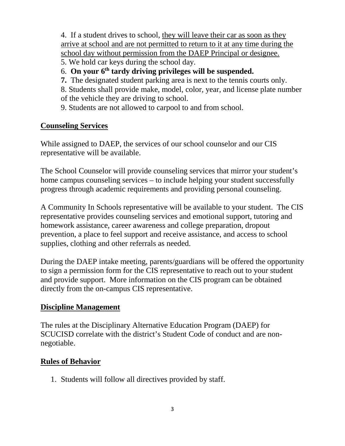4. If a student drives to school, they will leave their car as soon as they arrive at school and are not permitted to return to it at any time during the school day without permission from the DAEP Principal or designee.

- 5. We hold car keys during the school day.
- 6. **On your 6th tardy driving privileges will be suspended.**
- **7.** The designated student parking area is next to the tennis courts only.

8. Students shall provide make, model, color, year, and license plate number of the vehicle they are driving to school.

9. Students are not allowed to carpool to and from school.

#### **Counseling Services**

While assigned to DAEP, the services of our school counselor and our CIS representative will be available.

The School Counselor will provide counseling services that mirror your student's home campus counseling services – to include helping your student successfully progress through academic requirements and providing personal counseling.

A Community In Schools representative will be available to your student. The CIS representative provides counseling services and emotional support, tutoring and homework assistance, career awareness and college preparation, dropout prevention, a place to feel support and receive assistance, and access to school supplies, clothing and other referrals as needed.

During the DAEP intake meeting, parents/guardians will be offered the opportunity to sign a permission form for the CIS representative to reach out to your student and provide support. More information on the CIS program can be obtained directly from the on-campus CIS representative.

#### **Discipline Management**

The rules at the Disciplinary Alternative Education Program (DAEP) for SCUCISD correlate with the district's Student Code of conduct and are nonnegotiable.

#### **Rules of Behavior**

1. Students will follow all directives provided by staff.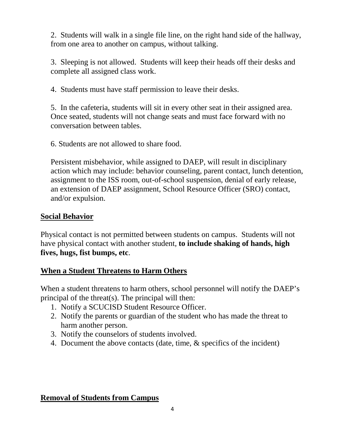2. Students will walk in a single file line, on the right hand side of the hallway, from one area to another on campus, without talking.

3. Sleeping is not allowed. Students will keep their heads off their desks and complete all assigned class work.

4. Students must have staff permission to leave their desks.

5. In the cafeteria, students will sit in every other seat in their assigned area. Once seated, students will not change seats and must face forward with no conversation between tables.

6. Students are not allowed to share food.

Persistent misbehavior, while assigned to DAEP, will result in disciplinary action which may include: behavior counseling, parent contact, lunch detention, assignment to the ISS room, out-of-school suspension, denial of early release, an extension of DAEP assignment, School Resource Officer (SRO) contact, and/or expulsion.

#### **Social Behavior**

Physical contact is not permitted between students on campus. Students will not have physical contact with another student, **to include shaking of hands, high fives, hugs, fist bumps, etc**.

#### **When a Student Threatens to Harm Others**

When a student threatens to harm others, school personnel will notify the DAEP's principal of the threat(s). The principal will then:

- 1. Notify a SCUCISD Student Resource Officer.
- 2. Notify the parents or guardian of the student who has made the threat to harm another person.
- 3. Notify the counselors of students involved.
- 4. Document the above contacts (date, time, & specifics of the incident)

#### **Removal of Students from Campus**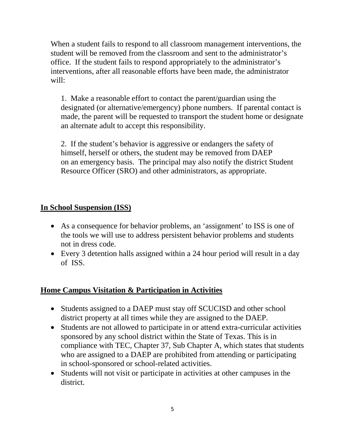When a student fails to respond to all classroom management interventions, the student will be removed from the classroom and sent to the administrator's office. If the student fails to respond appropriately to the administrator's interventions, after all reasonable efforts have been made, the administrator will:

1. Make a reasonable effort to contact the parent/guardian using the designated (or alternative/emergency) phone numbers. If parental contact is made, the parent will be requested to transport the student home or designate an alternate adult to accept this responsibility.

2. If the student's behavior is aggressive or endangers the safety of himself, herself or others, the student may be removed from DAEP on an emergency basis. The principal may also notify the district Student Resource Officer (SRO) and other administrators, as appropriate.

#### **In School Suspension (ISS)**

- As a consequence for behavior problems, an 'assignment' to ISS is one of the tools we will use to address persistent behavior problems and students not in dress code.
- Every 3 detention halls assigned within a 24 hour period will result in a day of ISS.

#### **Home Campus Visitation & Participation in Activities**

- Students assigned to a DAEP must stay off SCUCISD and other school district property at all times while they are assigned to the DAEP.
- Students are not allowed to participate in or attend extra-curricular activities sponsored by any school district within the State of Texas. This is in compliance with TEC, Chapter 37, Sub Chapter A, which states that students who are assigned to a DAEP are prohibited from attending or participating in school-sponsored or school-related activities.
- Students will not visit or participate in activities at other campuses in the district.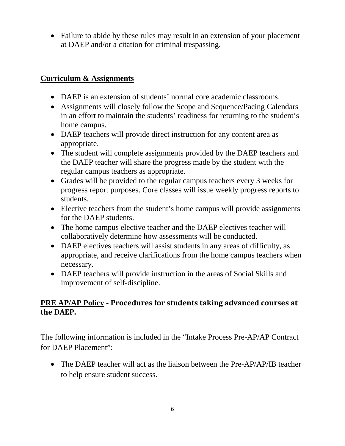• Failure to abide by these rules may result in an extension of your placement at DAEP and/or a citation for criminal trespassing.

### **Curriculum & Assignments**

- DAEP is an extension of students' normal core academic classrooms.
- Assignments will closely follow the Scope and Sequence/Pacing Calendars in an effort to maintain the students' readiness for returning to the student's home campus.
- DAEP teachers will provide direct instruction for any content area as appropriate.
- The student will complete assignments provided by the DAEP teachers and the DAEP teacher will share the progress made by the student with the regular campus teachers as appropriate.
- Grades will be provided to the regular campus teachers every 3 weeks for progress report purposes. Core classes will issue weekly progress reports to students.
- Elective teachers from the student's home campus will provide assignments for the DAEP students.
- The home campus elective teacher and the DAEP electives teacher will collaboratively determine how assessments will be conducted.
- DAEP electives teachers will assist students in any areas of difficulty, as appropriate, and receive clarifications from the home campus teachers when necessary.
- DAEP teachers will provide instruction in the areas of Social Skills and improvement of self-discipline.

# **PRE AP/AP Policy - Procedures for students taking advanced courses at the DAEP.**

The following information is included in the "Intake Process Pre-AP/AP Contract for DAEP Placement":

• The DAEP teacher will act as the liaison between the Pre-AP/AP/IB teacher to help ensure student success.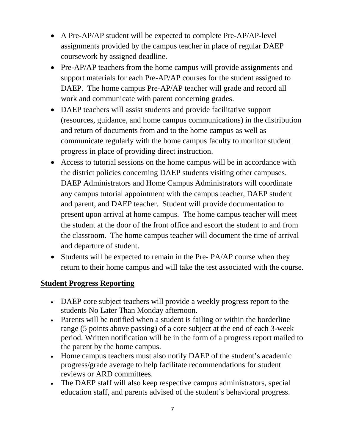- A Pre-AP/AP student will be expected to complete Pre-AP/AP-level assignments provided by the campus teacher in place of regular DAEP coursework by assigned deadline.
- Pre-AP/AP teachers from the home campus will provide assignments and support materials for each Pre-AP/AP courses for the student assigned to DAEP. The home campus Pre-AP/AP teacher will grade and record all work and communicate with parent concerning grades.
- DAEP teachers will assist students and provide facilitative support (resources, guidance, and home campus communications) in the distribution and return of documents from and to the home campus as well as communicate regularly with the home campus faculty to monitor student progress in place of providing direct instruction.
- Access to tutorial sessions on the home campus will be in accordance with the district policies concerning DAEP students visiting other campuses. DAEP Administrators and Home Campus Administrators will coordinate any campus tutorial appointment with the campus teacher, DAEP student and parent, and DAEP teacher. Student will provide documentation to present upon arrival at home campus. The home campus teacher will meet the student at the door of the front office and escort the student to and from the classroom. The home campus teacher will document the time of arrival and departure of student.
- Students will be expected to remain in the Pre- PA/AP course when they return to their home campus and will take the test associated with the course.

#### **Student Progress Reporting**

- DAEP core subject teachers will provide a weekly progress report to the students No Later Than Monday afternoon.
- Parents will be notified when a student is failing or within the borderline range (5 points above passing) of a core subject at the end of each 3-week period. Written notification will be in the form of a progress report mailed to the parent by the home campus.
- Home campus teachers must also notify DAEP of the student's academic progress/grade average to help facilitate recommendations for student reviews or ARD committees.
- The DAEP staff will also keep respective campus administrators, special education staff, and parents advised of the student's behavioral progress.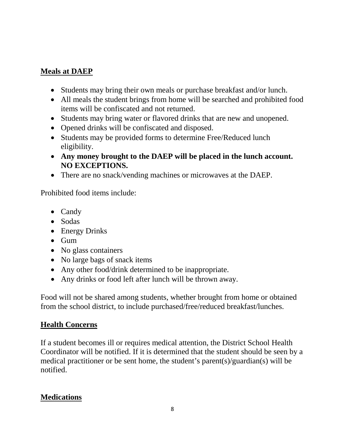#### **Meals at DAEP**

- Students may bring their own meals or purchase breakfast and/or lunch.
- All meals the student brings from home will be searched and prohibited food items will be confiscated and not returned.
- Students may bring water or flavored drinks that are new and unopened.
- Opened drinks will be confiscated and disposed.
- Students may be provided forms to determine Free/Reduced lunch eligibility.
- **Any money brought to the DAEP will be placed in the lunch account. NO EXCEPTIONS.**
- There are no snack/vending machines or microwaves at the DAEP.

Prohibited food items include:

- Candy
- Sodas
- Energy Drinks
- Gum
- No glass containers
- No large bags of snack items
- Any other food/drink determined to be inappropriate.
- Any drinks or food left after lunch will be thrown away.

Food will not be shared among students, whether brought from home or obtained from the school district, to include purchased/free/reduced breakfast/lunches.

# **Health Concerns**

If a student becomes ill or requires medical attention, the District School Health Coordinator will be notified. If it is determined that the student should be seen by a medical practitioner or be sent home, the student's parent(s)/guardian(s) will be notified.

# **Medications**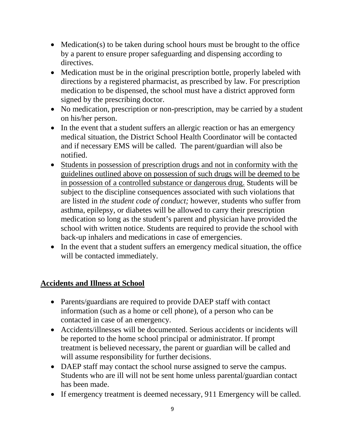- Medication(s) to be taken during school hours must be brought to the office by a parent to ensure proper safeguarding and dispensing according to directives.
- Medication must be in the original prescription bottle, properly labeled with directions by a registered pharmacist, as prescribed by law. For prescription medication to be dispensed, the school must have a district approved form signed by the prescribing doctor.
- No medication, prescription or non-prescription, may be carried by a student on his/her person.
- In the event that a student suffers an allergic reaction or has an emergency medical situation, the District School Health Coordinator will be contacted and if necessary EMS will be called. The parent/guardian will also be notified.
- Students in possession of prescription drugs and not in conformity with the guidelines outlined above on possession of such drugs will be deemed to be in possession of a controlled substance or dangerous drug. Students will be subject to the discipline consequences associated with such violations that are listed in *the student code of conduct;* however, students who suffer from asthma, epilepsy, or diabetes will be allowed to carry their prescription medication so long as the student's parent and physician have provided the school with written notice. Students are required to provide the school with back-up inhalers and medications in case of emergencies.
- In the event that a student suffers an emergency medical situation, the office will be contacted immediately.

#### **Accidents and Illness at School**

- Parents/guardians are required to provide DAEP staff with contact information (such as a home or cell phone), of a person who can be contacted in case of an emergency.
- Accidents/illnesses will be documented. Serious accidents or incidents will be reported to the home school principal or administrator. If prompt treatment is believed necessary, the parent or guardian will be called and will assume responsibility for further decisions.
- DAEP staff may contact the school nurse assigned to serve the campus. Students who are ill will not be sent home unless parental/guardian contact has been made.
- If emergency treatment is deemed necessary, 911 Emergency will be called.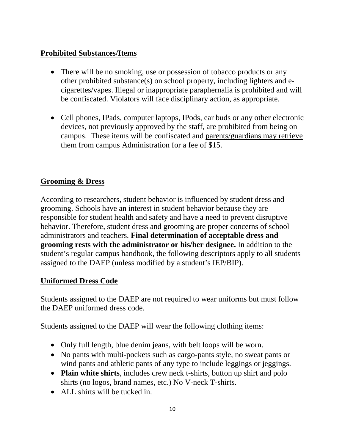# **Prohibited Substances/Items**

- There will be no smoking, use or possession of tobacco products or any other prohibited substance(s) on school property, including lighters and ecigarettes/vapes. Illegal or inappropriate paraphernalia is prohibited and will be confiscated. Violators will face disciplinary action, as appropriate.
- Cell phones, IPads, computer laptops, IPods, ear buds or any other electronic devices, not previously approved by the staff, are prohibited from being on campus. These items will be confiscated and parents/guardians may retrieve them from campus Administration for a fee of \$15.

# **Grooming & Dress**

According to researchers, student behavior is influenced by student dress and grooming. Schools have an interest in student behavior because they are responsible for student health and safety and have a need to prevent disruptive behavior. Therefore, student dress and grooming are proper concerns of school administrators and teachers. **Final determination of acceptable dress and grooming rests with the administrator or his/her designee.** In addition to the student's regular campus handbook, the following descriptors apply to all students assigned to the DAEP (unless modified by a student's IEP/BIP).

# **Uniformed Dress Code**

Students assigned to the DAEP are not required to wear uniforms but must follow the DAEP uniformed dress code.

Students assigned to the DAEP will wear the following clothing items:

- Only full length, blue denim jeans, with belt loops will be worn.
- No pants with multi-pockets such as cargo-pants style, no sweat pants or wind pants and athletic pants of any type to include leggings or jeggings.
- **Plain white shirts**, includes crew neck t-shirts, button up shirt and polo shirts (no logos, brand names, etc.) No V-neck T-shirts.
- ALL shirts will be tucked in.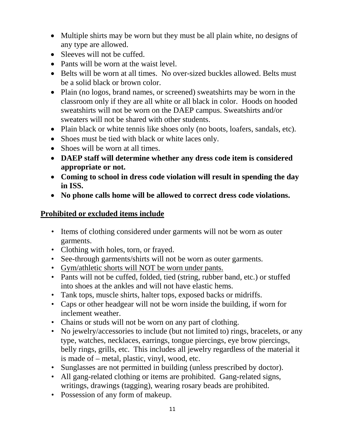- Multiple shirts may be worn but they must be all plain white, no designs of any type are allowed.
- Sleeves will not be cuffed.
- Pants will be worn at the waist level.
- Belts will be worn at all times. No over-sized buckles allowed. Belts must be a solid black or brown color.
- Plain (no logos, brand names, or screened) sweatshirts may be worn in the classroom only if they are all white or all black in color. Hoods on hooded sweatshirts will not be worn on the DAEP campus. Sweatshirts and/or sweaters will not be shared with other students.
- Plain black or white tennis like shoes only (no boots, loafers, sandals, etc).
- Shoes must be tied with black or white laces only.
- Shoes will be worn at all times.
- **DAEP staff will determine whether any dress code item is considered appropriate or not.**
- **Coming to school in dress code violation will result in spending the day in ISS.**
- **No phone calls home will be allowed to correct dress code violations.**

#### **Prohibited or excluded items include**

- Items of clothing considered under garments will not be worn as outer garments.
- Clothing with holes, torn, or frayed.
- See-through garments/shirts will not be worn as outer garments.
- Gym/athletic shorts will NOT be worn under pants.
- Pants will not be cuffed, folded, tied (string, rubber band, etc.) or stuffed into shoes at the ankles and will not have elastic hems.
- Tank tops, muscle shirts, halter tops, exposed backs or midriffs.
- Caps or other headgear will not be worn inside the building, if worn for inclement weather.
- Chains or studs will not be worn on any part of clothing.
- No jewelry/accessories to include (but not limited to) rings, bracelets, or any type, watches, necklaces, earrings, tongue piercings, eye brow piercings, belly rings, grills, etc. This includes all jewelry regardless of the material it is made of – metal, plastic, vinyl, wood, etc.
- Sunglasses are not permitted in building (unless prescribed by doctor).
- All gang-related clothing or items are prohibited. Gang-related signs, writings, drawings (tagging), wearing rosary beads are prohibited.
- Possession of any form of makeup.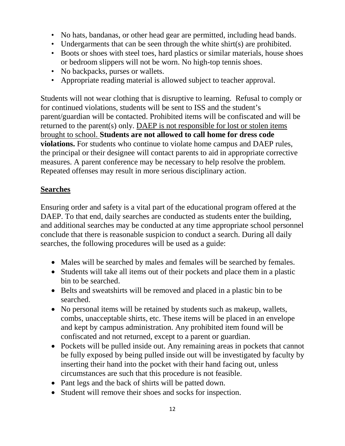- No hats, bandanas, or other head gear are permitted, including head bands.
- Undergarments that can be seen through the white shirt(s) are prohibited.
- Boots or shoes with steel toes, hard plastics or similar materials, house shoes or bedroom slippers will not be worn. No high-top tennis shoes.
- No backpacks, purses or wallets.
- Appropriate reading material is allowed subject to teacher approval.

Students will not wear clothing that is disruptive to learning. Refusal to comply or for continued violations, students will be sent to ISS and the student's parent/guardian will be contacted. Prohibited items will be confiscated and will be returned to the parent(s) only. DAEP is not responsible for lost or stolen items brought to school. **Students are not allowed to call home for dress code violations.** For students who continue to violate home campus and DAEP rules, the principal or their designee will contact parents to aid in appropriate corrective measures. A parent conference may be necessary to help resolve the problem. Repeated offenses may result in more serious disciplinary action.

# **Searches**

Ensuring order and safety is a vital part of the educational program offered at the DAEP. To that end, daily searches are conducted as students enter the building, and additional searches may be conducted at any time appropriate school personnel conclude that there is reasonable suspicion to conduct a search. During all daily searches, the following procedures will be used as a guide:

- Males will be searched by males and females will be searched by females.
- Students will take all items out of their pockets and place them in a plastic bin to be searched.
- Belts and sweatshirts will be removed and placed in a plastic bin to be searched.
- No personal items will be retained by students such as makeup, wallets, combs, unacceptable shirts, etc. These items will be placed in an envelope and kept by campus administration. Any prohibited item found will be confiscated and not returned, except to a parent or guardian.
- Pockets will be pulled inside out. Any remaining areas in pockets that cannot be fully exposed by being pulled inside out will be investigated by faculty by inserting their hand into the pocket with their hand facing out, unless circumstances are such that this procedure is not feasible.
- Pant legs and the back of shirts will be patted down.
- Student will remove their shoes and socks for inspection.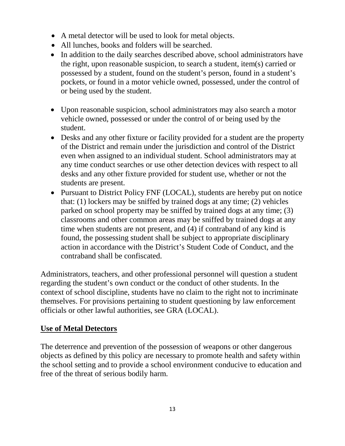- A metal detector will be used to look for metal objects.
- All lunches, books and folders will be searched.
- In addition to the daily searches described above, school administrators have the right, upon reasonable suspicion, to search a student, item(s) carried or possessed by a student, found on the student's person, found in a student's pockets, or found in a motor vehicle owned, possessed, under the control of or being used by the student.
- Upon reasonable suspicion, school administrators may also search a motor vehicle owned, possessed or under the control of or being used by the student.
- Desks and any other fixture or facility provided for a student are the property of the District and remain under the jurisdiction and control of the District even when assigned to an individual student. School administrators may at any time conduct searches or use other detection devices with respect to all desks and any other fixture provided for student use, whether or not the students are present.
- Pursuant to District Policy FNF (LOCAL), students are hereby put on notice that: (1) lockers may be sniffed by trained dogs at any time; (2) vehicles parked on school property may be sniffed by trained dogs at any time; (3) classrooms and other common areas may be sniffed by trained dogs at any time when students are not present, and (4) if contraband of any kind is found, the possessing student shall be subject to appropriate disciplinary action in accordance with the District's Student Code of Conduct, and the contraband shall be confiscated.

Administrators, teachers, and other professional personnel will question a student regarding the student's own conduct or the conduct of other students. In the context of school discipline, students have no claim to the right not to incriminate themselves. For provisions pertaining to student questioning by law enforcement officials or other lawful authorities, see GRA (LOCAL).

#### **Use of Metal Detectors**

The deterrence and prevention of the possession of weapons or other dangerous objects as defined by this policy are necessary to promote health and safety within the school setting and to provide a school environment conducive to education and free of the threat of serious bodily harm.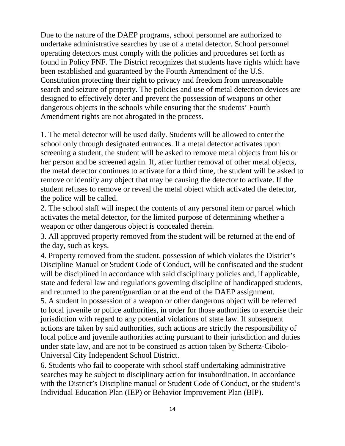Due to the nature of the DAEP programs, school personnel are authorized to undertake administrative searches by use of a metal detector. School personnel operating detectors must comply with the policies and procedures set forth as found in Policy FNF. The District recognizes that students have rights which have been established and guaranteed by the Fourth Amendment of the U.S. Constitution protecting their right to privacy and freedom from unreasonable search and seizure of property. The policies and use of metal detection devices are designed to effectively deter and prevent the possession of weapons or other dangerous objects in the schools while ensuring that the students' Fourth Amendment rights are not abrogated in the process.

1. The metal detector will be used daily. Students will be allowed to enter the school only through designated entrances. If a metal detector activates upon screening a student, the student will be asked to remove metal objects from his or her person and be screened again. If, after further removal of other metal objects, the metal detector continues to activate for a third time, the student will be asked to remove or identify any object that may be causing the detector to activate. If the student refuses to remove or reveal the metal object which activated the detector, the police will be called.

2. The school staff will inspect the contents of any personal item or parcel which activates the metal detector, for the limited purpose of determining whether a weapon or other dangerous object is concealed therein.

3. All approved property removed from the student will be returned at the end of the day, such as keys.

4. Property removed from the student, possession of which violates the District's Discipline Manual or Student Code of Conduct, will be confiscated and the student will be disciplined in accordance with said disciplinary policies and, if applicable, state and federal law and regulations governing discipline of handicapped students, and returned to the parent/guardian or at the end of the DAEP assignment.

5. A student in possession of a weapon or other dangerous object will be referred to local juvenile or police authorities, in order for those authorities to exercise their jurisdiction with regard to any potential violations of state law. If subsequent actions are taken by said authorities, such actions are strictly the responsibility of local police and juvenile authorities acting pursuant to their jurisdiction and duties under state law, and are not to be construed as action taken by Schertz-Cibolo-Universal City Independent School District.

6. Students who fail to cooperate with school staff undertaking administrative searches may be subject to disciplinary action for insubordination, in accordance with the District's Discipline manual or Student Code of Conduct, or the student's Individual Education Plan (IEP) or Behavior Improvement Plan (BIP).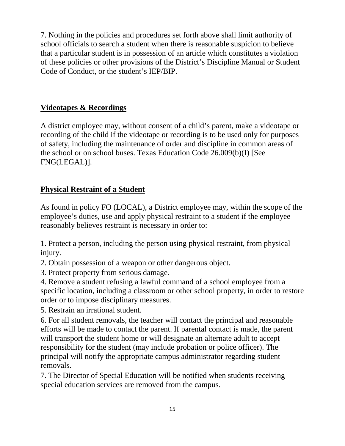7. Nothing in the policies and procedures set forth above shall limit authority of school officials to search a student when there is reasonable suspicion to believe that a particular student is in possession of an article which constitutes a violation of these policies or other provisions of the District's Discipline Manual or Student Code of Conduct, or the student's IEP/BIP.

# **Videotapes & Recordings**

A district employee may, without consent of a child's parent, make a videotape or recording of the child if the videotape or recording is to be used only for purposes of safety, including the maintenance of order and discipline in common areas of the school or on school buses. Texas Education Code 26.009(b)(I) [See FNG(LEGAL)].

# **Physical Restraint of a Student**

As found in policy FO (LOCAL), a District employee may, within the scope of the employee's duties, use and apply physical restraint to a student if the employee reasonably believes restraint is necessary in order to:

1. Protect a person, including the person using physical restraint, from physical injury.

2. Obtain possession of a weapon or other dangerous object.

3. Protect property from serious damage.

4. Remove a student refusing a lawful command of a school employee from a specific location, including a classroom or other school property, in order to restore order or to impose disciplinary measures.

5. Restrain an irrational student.

6. For all student removals, the teacher will contact the principal and reasonable efforts will be made to contact the parent. If parental contact is made, the parent will transport the student home or will designate an alternate adult to accept responsibility for the student (may include probation or police officer). The principal will notify the appropriate campus administrator regarding student removals.

7. The Director of Special Education will be notified when students receiving special education services are removed from the campus.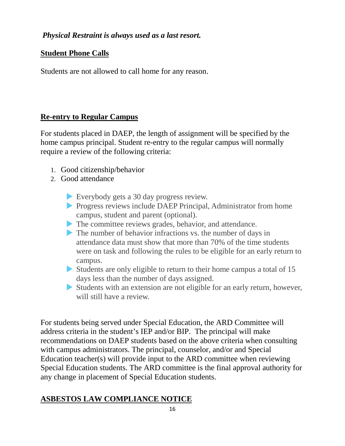# *Physical Restraint is always used as a last resort.*

### **Student Phone Calls**

Students are not allowed to call home for any reason.

#### **Re-entry to Regular Campus**

For students placed in DAEP, the length of assignment will be specified by the home campus principal. Student re-entry to the regular campus will normally require a review of the following criteria:

- 1. Good citizenship/behavior
- 2. Good attendance
	- Everybody gets a 30 day progress review.
	- **Progress reviews include DAEP Principal, Administrator from home** campus, student and parent (optional).
	- The committee reviews grades, behavior, and attendance.
	- The number of behavior infractions vs. the number of days in attendance data must show that more than 70% of the time students were on task and following the rules to be eligible for an early return to campus.
	- Students are only eligible to return to their home campus a total of 15 days less than the number of days assigned.
	- Students with an extension are not eligible for an early return, however, will still have a review.

For students being served under Special Education, the ARD Committee will address criteria in the student's IEP and/or BIP. The principal will make recommendations on DAEP students based on the above criteria when consulting with campus administrators. The principal, counselor, and/or and Special Education teacher(s) will provide input to the ARD committee when reviewing Special Education students. The ARD committee is the final approval authority for any change in placement of Special Education students.

# **ASBESTOS LAW COMPLIANCE NOTICE**